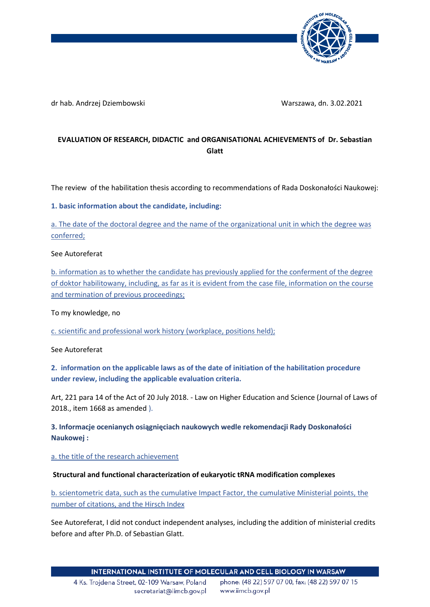

dr hab. Andrzej Dziembowski Warszawa, dn. 3.02.2021

# **EVALUATION OF RESEARCH, DIDACTIC and ORGANISATIONAL ACHIEVEMENTS of Dr. Sebastian Glatt**

The review of the habilitation thesis according to recommendations of Rada Doskonałości Naukowej:

## **1. basic information about the candidate, including:**

a. The date of the doctoral degree and the name of the organizational unit in which the degree was conferred;

## See Autoreferat

b. information as to whether the candidate has previously applied for the conferment of the degree of doktor habilitowany, including, as far as it is evident from the case file, information on the course and termination of previous proceedings;

To my knowledge, no

c. scientific and professional work history (workplace, positions held);

See Autoreferat

**2. information on the applicable laws as of the date of initiation of the habilitation procedure under review, including the applicable evaluation criteria.**

Art, 221 para 14 of the Act of 20 July 2018. - Law on Higher Education and Science (Journal of Laws of 2018., item 1668 as amended ).

**3. Informacje ocenianych osiągnięciach naukowych wedle rekomendacji Rady Doskonałości Naukowej :** 

a. the title of the research achievement

## **Structural and functional characterization of eukaryotic tRNA modification complexes**

b. scientometric data, such as the cumulative Impact Factor, the cumulative Ministerial points, the number of citations, and the Hirsch Index

See Autoreferat, I did not conduct independent analyses, including the addition of ministerial credits before and after Ph.D. of Sebastian Glatt.

4 Ks. Troidena Street, 02-109 Warsaw, Poland secretariat@iimcb.gov.pl

phone: (48 22) 597 07 00, fax: (48 22) 597 07 15 www.iimcb.gov.pl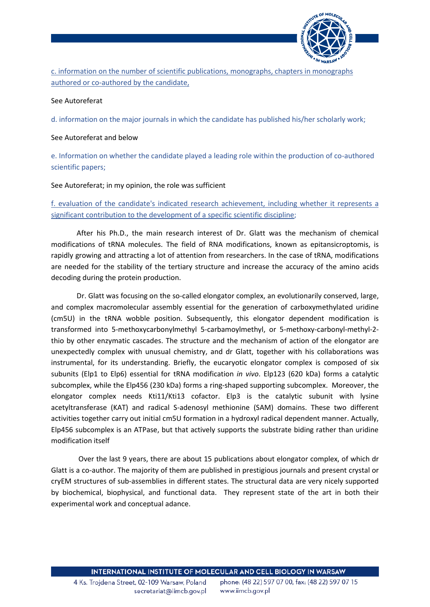

c. information on the number of scientific publications, monographs, chapters in monographs authored or co-authored by the candidate,

#### See Autoreferat

d. information on the major journals in which the candidate has published his/her scholarly work;

#### See Autoreferat and below

e. Information on whether the candidate played a leading role within the production of co-authored scientific papers;

#### See Autoreferat; in my opinion, the role was sufficient

# f. evaluation of the candidate's indicated research achievement, including whether it represents a significant contribution to the development of a specific scientific discipline;

After his Ph.D., the main research interest of Dr. Glatt was the mechanism of chemical modifications of tRNA molecules. The field of RNA modifications, known as epitansicroptomis, is rapidly growing and attracting a lot of attention from researchers. In the case of tRNA, modifications are needed for the stability of the tertiary structure and increase the accuracy of the amino acids decoding during the protein production.

Dr. Glatt was focusing on the so-called elongator complex, an evolutionarily conserved, large, and complex macromolecular assembly essential for the generation of carboxymethylated uridine (cm5U) in the tRNA wobble position. Subsequently, this elongator dependent modification is transformed into 5-methoxycarbonylmethyl 5-carbamoylmethyl, or 5-methoxy-carbonyl-methyl-2 thio by other enzymatic cascades. The structure and the mechanism of action of the elongator are unexpectedly complex with unusual chemistry, and dr Glatt, together with his collaborations was instrumental, for its understanding. Briefly, the eucaryotic elongator complex is composed of six subunits (Elp1 to Elp6) essential for tRNA modification *in vivo*. Elp123 (620 kDa) forms a catalytic subcomplex, while the Elp456 (230 kDa) forms a ring-shaped supporting subcomplex. Moreover, the elongator complex needs Kti11/Kti13 cofactor. Elp3 is the catalytic subunit with lysine acetyltransferase (KAT) and radical S-adenosyl methionine (SAM) domains. These two different activities together carry out initial cm5U formation in a hydroxyl radical dependent manner. Actually, Elp456 subcomplex is an ATPase, but that actively supports the substrate biding rather than uridine modification itself

Over the last 9 years, there are about 15 publications about elongator complex, of which dr Glatt is a co-author. The majority of them are published in prestigious journals and present crystal or cryEM structures of sub-assemblies in different states. The structural data are very nicely supported by biochemical, biophysical, and functional data. They represent state of the art in both their experimental work and conceptual adance.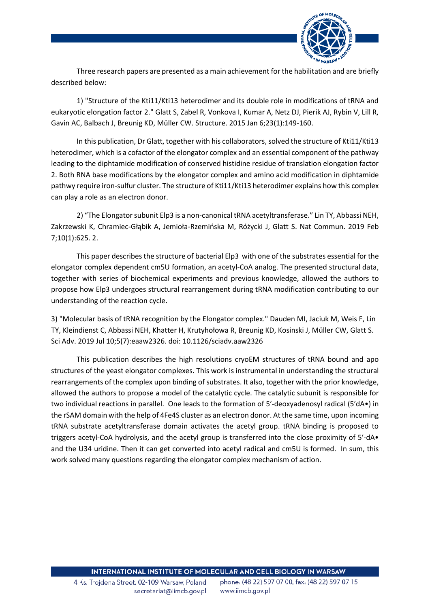

Three research papers are presented as a main achievement for the habilitation and are briefly described below:

1) "Structure of the Kti11/Kti13 heterodimer and its double role in modifications of tRNA and eukaryotic elongation factor 2." Glatt S, Zabel R, Vonkova I, Kumar A, Netz DJ, Pierik AJ, Rybin V, Lill R, Gavin AC, Balbach J, Breunig KD, Müller CW. Structure. 2015 Jan 6;23(1):149-160.

In this publication, Dr Glatt, together with his collaborators, solved the structure of Kti11/Kti13 heterodimer, which is a cofactor of the elongator complex and an essential component of the pathway leading to the diphtamide modification of conserved histidine residue of translation elongation factor 2. Both RNA base modifications by the elongator complex and amino acid modification in diphtamide pathwy require iron-sulfur cluster. The structure of Kti11/Kti13 heterodimer explains how this complex can play a role as an electron donor.

2) "The Elongator subunit Elp3 is a non-canonical tRNA acetyltransferase." Lin TY, Abbassi NEH, Zakrzewski K, Chramiec-Głąbik A, Jemioła-Rzemińska M, Różycki J, Glatt S. Nat Commun. 2019 Feb 7;10(1):625. 2.

This paper describes the structure of bacterial Elp3 with one of the substrates essential for the elongator complex dependent cm5U formation, an acetyl-CoA analog. The presented structural data, together with series of biochemical experiments and previous knowledge, allowed the authors to propose how Elp3 undergoes structural rearrangement during tRNA modification contributing to our understanding of the reaction cycle.

3) "Molecular basis of tRNA recognition by the Elongator complex." Dauden MI, Jaciuk M, Weis F, Lin TY, Kleindienst C, Abbassi NEH, Khatter H, Krutyhołowa R, Breunig KD, Kosinski J, Müller CW, Glatt S. Sci Adv. 2019 Jul 10;5(7):eaaw2326. doi: 10.1126/sciadv.aaw2326

This publication describes the high resolutions cryoEM structures of tRNA bound and apo structures of the yeast elongator complexes. This work is instrumental in understanding the structural rearrangements of the complex upon binding of substrates. It also, together with the prior knowledge, allowed the authors to propose a model of the catalytic cycle. The catalytic subunit is responsible for two individual reactions in parallel. One leads to the formation of 5′-deoxyadenosyl radical (5′dA•) in the rSAM domain with the help of 4Fe4S cluster as an electron donor. At the same time, upon incoming tRNA substrate acetyltransferase domain activates the acetyl group. tRNA binding is proposed to triggers acetyl-CoA hydrolysis, and the acetyl group is transferred into the close proximity of 5′-dA• and the U34 uridine. Then it can get converted into acetyl radical and cm5U is formed. In sum, this work solved many questions regarding the elongator complex mechanism of action.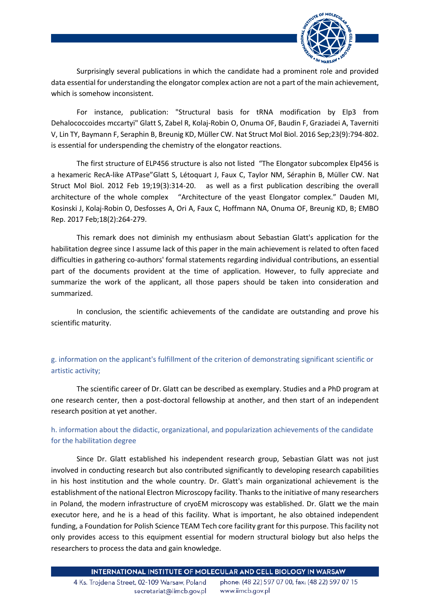

Surprisingly several publications in which the candidate had a prominent role and provided data essential for understanding the elongator complex action are not a part of the main achievement, which is somehow inconsistent.

For instance, publication: "Structural basis for tRNA modification by Elp3 from Dehalococcoides mccartyi" Glatt S, Zabel R, Kolaj-Robin O, Onuma OF, Baudin F, Graziadei A, Taverniti V, Lin TY, Baymann F, Seraphin B, Breunig KD, Müller CW. Nat Struct Mol Biol. 2016 Sep;23(9):794-802. is essential for underspending the chemistry of the elongator reactions.

The first structure of ELP456 structure is also not listed "The Elongator subcomplex Elp456 is a hexameric RecA-like ATPase"Glatt S, Létoquart J, Faux C, Taylor NM, Séraphin B, Müller CW. Nat Struct Mol Biol. 2012 Feb 19;19(3):314-20. as well as a first publication describing the overall architecture of the whole complex "Architecture of the yeast Elongator complex." Dauden MI, Kosinski J, Kolaj-Robin O, Desfosses A, Ori A, Faux C, Hoffmann NA, Onuma OF, Breunig KD, B; EMBO Rep. 2017 Feb;18(2):264-279.

This remark does not diminish my enthusiasm about Sebastian Glatt's application for the habilitation degree since I assume lack of this paper in the main achievement is related to often faced difficulties in gathering co-authors' formal statements regarding individual contributions, an essential part of the documents provident at the time of application. However, to fully appreciate and summarize the work of the applicant, all those papers should be taken into consideration and summarized.

In conclusion, the scientific achievements of the candidate are outstanding and prove his scientific maturity.

g. information on the applicant's fulfillment of the criterion of demonstrating significant scientific or artistic activity;

The scientific career of Dr. Glatt can be described as exemplary. Studies and a PhD program at one research center, then a post-doctoral fellowship at another, and then start of an independent research position at yet another.

# h. information about the didactic, organizational, and popularization achievements of the candidate for the habilitation degree

Since Dr. Glatt established his independent research group, Sebastian Glatt was not just involved in conducting research but also contributed significantly to developing research capabilities in his host institution and the whole country. Dr. Glatt's main organizational achievement is the establishment of the national Electron Microscopy facility. Thanks to the initiative of many researchers in Poland, the modern infrastructure of cryoEM microscopy was established. Dr. Glatt we the main executor here, and he is a head of this facility. What is important, he also obtained independent funding, a Foundation for Polish Science TEAM Tech core facility grant for this purpose. This facility not only provides access to this equipment essential for modern structural biology but also helps the researchers to process the data and gain knowledge.